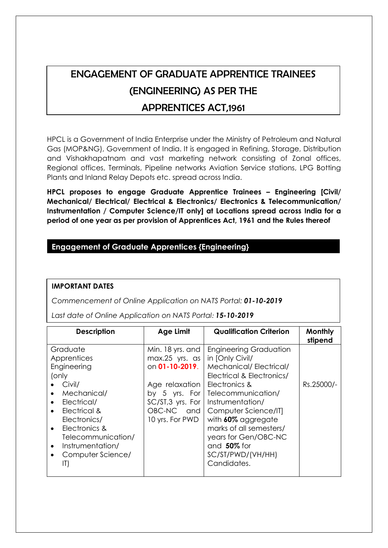# ENGAGEMENT OF GRADUATE APPRENTICE TRAINEES (ENGINEERING) AS PER THE APPRENTICES ACT,1961

HPCL is a Government of India Enterprise under the Ministry of Petroleum and Natural Gas (MOP&NG), Government of India. It is engaged in Refining, Storage, Distribution and Vishakhapatnam and vast marketing network consisting of Zonal offices, Regional offices, Terminals, Pipeline networks Aviation Service stations, LPG Botting Plants and Inland Relay Depots etc. spread across India.

**HPCL proposes to engage Graduate Apprentice Trainees – Engineering [Civil/ Mechanical/ Electrical/ Electrical & Electronics/ Electronics & Telecommunication/ Instrumentation / Computer Science/IT only] at Locations spread across India for a period of one year as per provision of Apprentices Act, 1961 and the Rules thereof**

# **Engagement of Graduate Apprentices {Engineering}**

#### **IMPORTANT DATES**

*Commencement of Online Application on NATS Portal: 01-10-2019*

*Last date of Online Application on NATS Portal: 15-10-2019*

| <b>Description</b>                                                                                                                                                                                                                                                              | Age Limit                                                                                                                                         | <b>Qualification Criterion</b>                                                                                                                                                                                                                                                                                            | <b>Monthly</b><br>stipend |
|---------------------------------------------------------------------------------------------------------------------------------------------------------------------------------------------------------------------------------------------------------------------------------|---------------------------------------------------------------------------------------------------------------------------------------------------|---------------------------------------------------------------------------------------------------------------------------------------------------------------------------------------------------------------------------------------------------------------------------------------------------------------------------|---------------------------|
| Graduate<br>Apprentices<br>Engineering<br>(only<br>Civil/<br>Mechanical/<br>$\bullet$<br>Electrical/<br>$\bullet$<br>Electrical &<br>$\bullet$<br>Electronics/<br>Electronics &<br>$\bullet$<br>Telecommunication/<br>Instrumentation/<br>$\bullet$<br>Computer Science/<br>II) | Min. 18 yrs. and<br>$max.25$ yrs. as<br>on 01-10-2019.<br>Age relaxation<br>by 5 yrs. For<br>SC/ST, 3 yrs. For<br>$OBC-NC$ and<br>10 yrs. For PWD | <b>Engineering Graduation</b><br>in [Only Civil/<br>Mechanical/Electrical/<br>Electrical & Electronics/<br>Electronics &<br>Telecommunication/<br>Instrumentation/<br>Computer Science/IT]<br>with 60% aggregate<br>marks of all semesters/<br>years for Gen/OBC-NC<br>and $50\%$ for<br>SC/ST/PWD/(VH/HH)<br>Candidates. | Rs.25000/-                |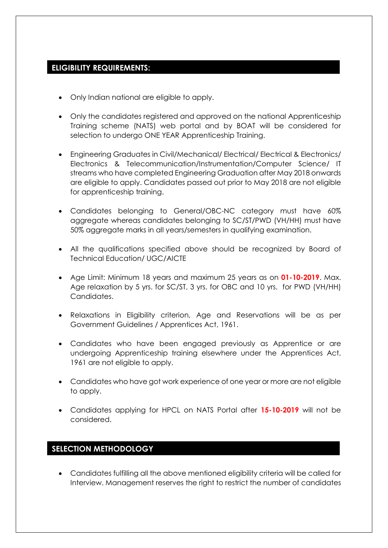# **ELIGIBILITY REQUIREMENTS:**

- Only Indian national are eligible to apply.
- Only the candidates registered and approved on the national Apprenticeship Training scheme (NATS) web portal and by BOAT will be considered for selection to undergo ONE YEAR Apprenticeship Training.
- Engineering Graduates in Civil/Mechanical/ Electrical/ Electrical & Electronics/ Electronics & Telecommunication/Instrumentation/Computer Science/ IT streams who have completed Engineering Graduation after May 2018 onwards are eligible to apply. Candidates passed out prior to May 2018 are not eligible for apprenticeship training.
- Candidates belonging to General/OBC-NC category must have 60% aggregate whereas candidates belonging to SC/ST/PWD (VH/HH) must have 50% aggregate marks in all years/semesters in qualifying examination.
- All the qualifications specified above should be recognized by Board of Technical Education/ UGC/AICTE
- Age Limit: Minimum 18 years and maximum 25 years as on **01-10-2019**. Max. Age relaxation by 5 yrs. for SC/ST, 3 yrs. for OBC and 10 yrs. for PWD (VH/HH) Candidates.
- Relaxations in Eligibility criterion, Age and Reservations will be as per Government Guidelines / Apprentices Act, 1961.
- Candidates who have been engaged previously as Apprentice or are undergoing Apprenticeship training elsewhere under the Apprentices Act, 1961 are not eligible to apply.
- Candidates who have got work experience of one year or more are not eligible to apply.
- Candidates applying for HPCL on NATS Portal after **15-10-2019** will not be considered.

### **SELECTION METHODOLOGY**

 Candidates fulfilling all the above mentioned eligibility criteria will be called for Interview. Management reserves the right to restrict the number of candidates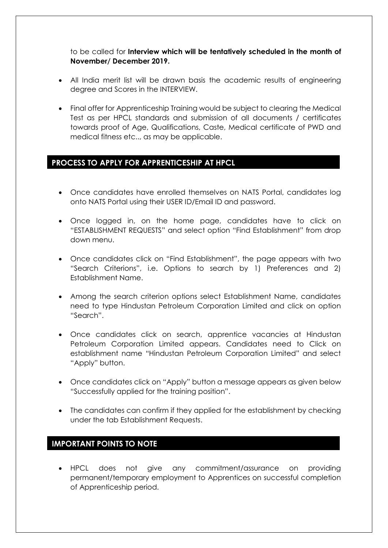to be called for **Interview which will be tentatively scheduled in the month of November/ December 2019.**

- All India merit list will be drawn basis the academic results of engineering degree and Scores in the INTERVIEW.
- Final offer for Apprenticeship Training would be subject to clearing the Medical Test as per HPCL standards and submission of all documents / certificates towards proof of Age, Qualifications, Caste, Medical certificate of PWD and medical fitness etc.., as may be applicable.

# **PROCESS TO APPLY FOR APPRENTICESHIP AT HPCL**

- Once candidates have enrolled themselves on NATS Portal, candidates log onto NATS Portal using their USER ID/Email ID and password.
- Once logged in, on the home page, candidates have to click on "ESTABLISHMENT REQUESTS" and select option "Find Establishment" from drop down menu.
- Once candidates click on "Find Establishment", the page appears with two "Search Criterions", i.e. Options to search by 1) Preferences and 2) Establishment Name.
- Among the search criterion options select Establishment Name, candidates need to type Hindustan Petroleum Corporation Limited and click on option "Search".
- Once candidates click on search, apprentice vacancies at Hindustan Petroleum Corporation Limited appears. Candidates need to Click on establishment name "Hindustan Petroleum Corporation Limited" and select "Apply" button.
- Once candidates click on "Apply" button a message appears as given below "Successfully applied for the training position".
- The candidates can confirm if they applied for the establishment by checking under the tab Establishment Requests.

### **IMPORTANT POINTS TO NOTE**

 HPCL does not give any commitment/assurance on providing permanent/temporary employment to Apprentices on successful completion of Apprenticeship period.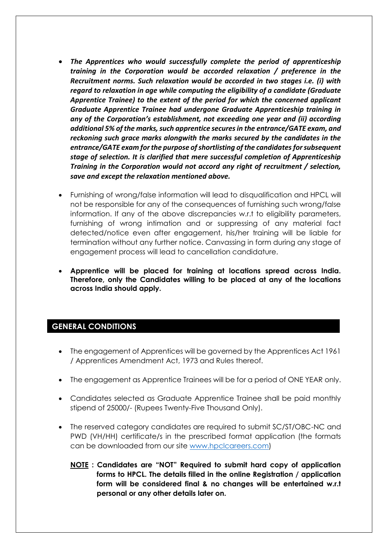- *The Apprentices who would successfully complete the period of apprenticeship training in the Corporation would be accorded relaxation / preference in the Recruitment norms. Such relaxation would be accorded in two stages i.e. (i) with regard to relaxation in age while computing the eligibility of a candidate (Graduate Apprentice Trainee) to the extent of the period for which the concerned applicant Graduate Apprentice Trainee had undergone Graduate Apprenticeship training in any of the Corporation's establishment, not exceeding one year and (ii) according additional 5% of the marks, such apprentice secures in the entrance/GATE exam, and reckoning such grace marks alongwith the marks secured by the candidates in the entrance/GATE exam for the purpose of shortlisting of the candidates for subsequent stage of selection. It is clarified that mere successful completion of Apprenticeship Training in the Corporation would not accord any right of recruitment / selection, save and except the relaxation mentioned above.*
- Furnishing of wrong/false information will lead to disqualification and HPCL will not be responsible for any of the consequences of furnishing such wrong/false information. If any of the above discrepancies w.r.t to eligibility parameters, furnishing of wrong intimation and or suppressing of any material fact detected/notice even after engagement, his/her training will be liable for termination without any further notice. Canvassing in form during any stage of engagement process will lead to cancellation candidature.
- **Apprentice will be placed for training at locations spread across India. Therefore, only the Candidates willing to be placed at any of the locations across India should apply.**

### **GENERAL CONDITIONS**

- The engagement of Apprentices will be governed by the Apprentices Act 1961 / Apprentices Amendment Act, 1973 and Rules thereof.
- The engagement as Apprentice Trainees will be for a period of ONE YEAR only.
- Candidates selected as Graduate Apprentice Trainee shall be paid monthly stipend of 25000/- (Rupees Twenty-Five Thousand Only).
- The reserved category candidates are required to submit SC/ST/OBC-NC and PWD (VH/HH) certificate/s in the prescribed format application (the formats can be downloaded from our site [www.hpclcareers.com\)](http://www.hpclcareers.com/)
	- **NOTE : Candidates are "NOT" Required to submit hard copy of application forms to HPCL. The details filled in the online Registration / application form will be considered final & no changes will be entertained w.r.t personal or any other details later on.**